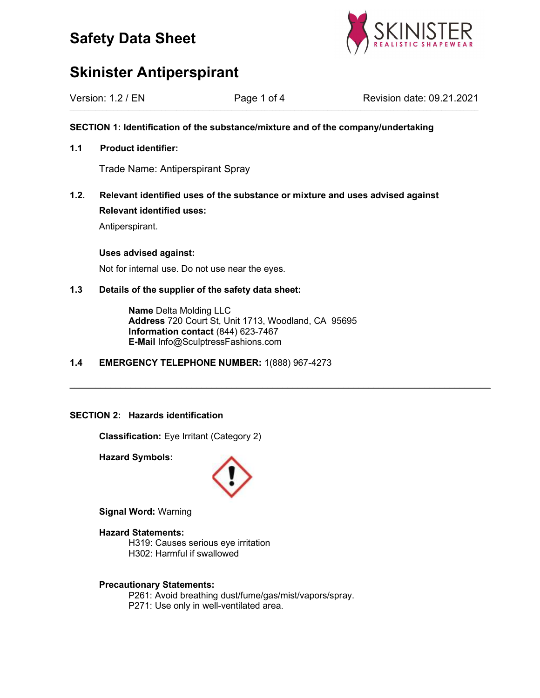



| Version: 1.2 / EN | Page 1 of 4 | Revision date: 09.21.2021 |
|-------------------|-------------|---------------------------|
|                   |             |                           |

SECTION 1: Identification of the substance/mixture and of the company/undertaking

## 1.1 Product identifier:

Trade Name: Antiperspirant Spray

1.2. Relevant identified uses of the substance or mixture and uses advised against Relevant identified uses:

Antiperspirant.

## Uses advised against:

Not for internal use. Do not use near the eyes.

## 1.3 Details of the supplier of the safety data sheet:

 Name Delta Molding LLC Address 720 Court St, Unit 1713, Woodland, CA 95695 Information contact (844) 623-7467 E-Mail Info@SculptressFashions.com

\_\_\_\_\_\_\_\_\_\_\_\_\_\_\_\_\_\_\_\_\_\_\_\_\_\_\_\_\_\_\_\_\_\_\_\_\_\_\_\_\_\_\_\_\_\_\_\_\_\_\_\_\_\_\_\_\_\_\_\_\_\_\_\_\_\_\_\_\_\_\_\_\_\_\_\_\_\_\_\_\_\_\_

1.4 EMERGENCY TELEPHONE NUMBER: 1(888) 967-4273

## SECTION 2: Hazards identification

Classification: Eye Irritant (Category 2)

Hazard Symbols:



Signal Word: Warning

Hazard Statements:

 H319: Causes serious eye irritation H302: Harmful if swallowed

## Precautionary Statements:

 P261: Avoid breathing dust/fume/gas/mist/vapors/spray. P271: Use only in well-ventilated area.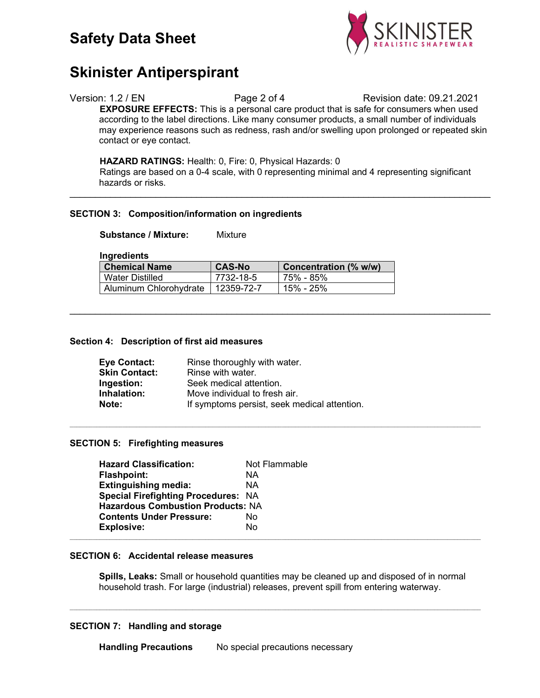

## Version: 1.2 / EN Page 2 of 4 Revision date: 09.21.2021 EXPOSURE EFFECTS: This is a personal care product that is safe for consumers when used according to the label directions. Like many consumer products, a small number of individuals may experience reasons such as redness, rash and/or swelling upon prolonged or repeated skin contact or eye contact.

## HAZARD RATINGS: Health: 0, Fire: 0, Physical Hazards: 0

 Ratings are based on a 0-4 scale, with 0 representing minimal and 4 representing significant hazards or risks.

\_\_\_\_\_\_\_\_\_\_\_\_\_\_\_\_\_\_\_\_\_\_\_\_\_\_\_\_\_\_\_\_\_\_\_\_\_\_\_\_\_\_\_\_\_\_\_\_\_\_\_\_\_\_\_\_\_\_\_\_\_\_\_\_\_\_\_\_\_\_\_\_\_\_\_\_\_\_\_\_\_\_\_

\_\_\_\_\_\_\_\_\_\_\_\_\_\_\_\_\_\_\_\_\_\_\_\_\_\_\_\_\_\_\_\_\_\_\_\_\_\_\_\_\_\_\_\_\_\_\_\_\_\_\_\_\_\_\_\_\_\_\_\_\_\_\_\_\_\_\_\_\_\_\_\_\_\_\_\_\_\_\_\_\_\_\_

 $\mathcal{L}_\text{max} = \mathcal{L}_\text{max} = \mathcal{L}_\text{max} = \mathcal{L}_\text{max} = \mathcal{L}_\text{max} = \mathcal{L}_\text{max} = \mathcal{L}_\text{max} = \mathcal{L}_\text{max} = \mathcal{L}_\text{max} = \mathcal{L}_\text{max} = \mathcal{L}_\text{max} = \mathcal{L}_\text{max} = \mathcal{L}_\text{max} = \mathcal{L}_\text{max} = \mathcal{L}_\text{max} = \mathcal{L}_\text{max} = \mathcal{L}_\text{max} = \mathcal{L}_\text{max} = \mathcal{$ 

## SECTION 3: Composition/information on ingredients

Substance / Mixture: Mixture

**Ingredients** 

| <b>Chemical Name</b>   | <b>CAS-No</b> | Concentration (% w/w) |
|------------------------|---------------|-----------------------|
| Water Distilled        | 7732-18-5     | ∣ 75% - 85%           |
| Aluminum Chlorohydrate | 12359-72-7    | 15% - 25%             |

## Section 4: Description of first aid measures

| <b>Eye Contact:</b>  | Rinse thoroughly with water.                 |
|----------------------|----------------------------------------------|
| <b>Skin Contact:</b> | Rinse with water.                            |
| Ingestion:           | Seek medical attention.                      |
| Inhalation:          | Move individual to fresh air.                |
| Note:                | If symptoms persist, seek medical attention. |

## SECTION 5: Firefighting measures

| <b>Hazard Classification:</b>              | Not Flammable |
|--------------------------------------------|---------------|
| <b>Flashpoint:</b>                         | ΝA            |
| <b>Extinguishing media:</b>                | ΝA            |
| <b>Special Firefighting Procedures: NA</b> |               |
| <b>Hazardous Combustion Products: NA</b>   |               |
| <b>Contents Under Pressure:</b>            | No.           |
| <b>Explosive:</b>                          | No.           |
|                                            |               |

### SECTION 6: Accidental release measures

 Spills, Leaks: Small or household quantities may be cleaned up and disposed of in normal household trash. For large (industrial) releases, prevent spill from entering waterway.

 $\mathcal{L}_\text{max} = \mathcal{L}_\text{max} = \mathcal{L}_\text{max} = \mathcal{L}_\text{max} = \mathcal{L}_\text{max} = \mathcal{L}_\text{max} = \mathcal{L}_\text{max} = \mathcal{L}_\text{max} = \mathcal{L}_\text{max} = \mathcal{L}_\text{max} = \mathcal{L}_\text{max} = \mathcal{L}_\text{max} = \mathcal{L}_\text{max} = \mathcal{L}_\text{max} = \mathcal{L}_\text{max} = \mathcal{L}_\text{max} = \mathcal{L}_\text{max} = \mathcal{L}_\text{max} = \mathcal{$ 

## SECTION 7: Handling and storage

Handling Precautions No special precautions necessary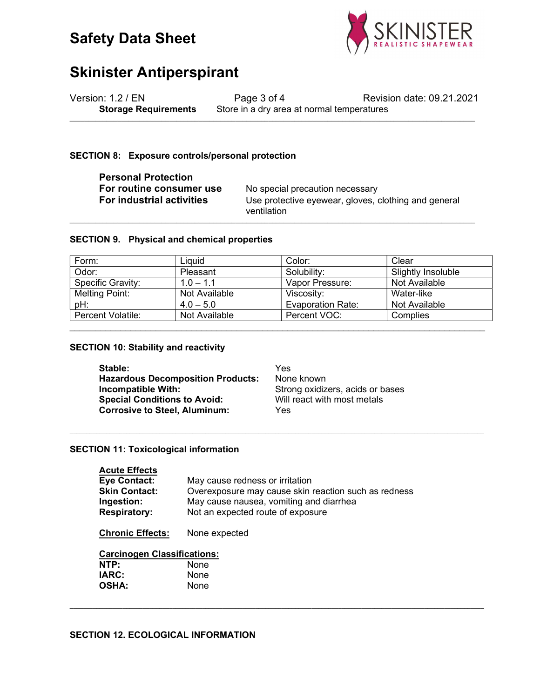



| Version: 1.2 / EN           | Page 3 of 4                                | Revision date: 09.21.2021 |
|-----------------------------|--------------------------------------------|---------------------------|
| <b>Storage Requirements</b> | Store in a dry area at normal temperatures |                           |

## SECTION 8: Exposure controls/personal protection

| <b>Personal Protection</b>       |  |
|----------------------------------|--|
| For routine consumer use         |  |
| <b>For industrial activities</b> |  |

No special precaution necessary Use protective eyewear, gloves, clothing and general ventilation

### SECTION 9. Physical and chemical properties

| Form:             | Liquid        | Color:                   | Clear              |
|-------------------|---------------|--------------------------|--------------------|
| Odor:             | Pleasant      | Solubility:              | Slightly Insoluble |
| Specific Gravity: | $1.0 - 1.1$   | Vapor Pressure:          | Not Available      |
| Melting Point:    | Not Available | Viscosity:               | Water-like         |
| pH:               | $4.0 - 5.0$   | <b>Evaporation Rate:</b> | Not Available      |
| Percent Volatile: | Not Available | Percent VOC:             | Complies           |

 $\_$  ,  $\_$  ,  $\_$  ,  $\_$  ,  $\_$  ,  $\_$  ,  $\_$  ,  $\_$  ,  $\_$  ,  $\_$  ,  $\_$  ,  $\_$  ,  $\_$  ,  $\_$  ,  $\_$  ,  $\_$  ,  $\_$  ,  $\_$  ,  $\_$  ,  $\_$  ,  $\_$  ,  $\_$  ,  $\_$  ,  $\_$  ,  $\_$  ,  $\_$  ,  $\_$  ,  $\_$  ,  $\_$  ,  $\_$  ,  $\_$  ,  $\_$  ,  $\_$  ,  $\_$  ,  $\_$  ,  $\_$  ,  $\_$  ,

 $\mathcal{L}_\text{max} = \mathcal{L}_\text{max} = \mathcal{L}_\text{max} = \mathcal{L}_\text{max} = \mathcal{L}_\text{max} = \mathcal{L}_\text{max} = \mathcal{L}_\text{max} = \mathcal{L}_\text{max} = \mathcal{L}_\text{max} = \mathcal{L}_\text{max} = \mathcal{L}_\text{max} = \mathcal{L}_\text{max} = \mathcal{L}_\text{max} = \mathcal{L}_\text{max} = \mathcal{L}_\text{max} = \mathcal{L}_\text{max} = \mathcal{L}_\text{max} = \mathcal{L}_\text{max} = \mathcal{$ 

 $\mathcal{L}_\mathcal{L} = \mathcal{L}_\mathcal{L} = \mathcal{L}_\mathcal{L} = \mathcal{L}_\mathcal{L} = \mathcal{L}_\mathcal{L} = \mathcal{L}_\mathcal{L} = \mathcal{L}_\mathcal{L} = \mathcal{L}_\mathcal{L} = \mathcal{L}_\mathcal{L} = \mathcal{L}_\mathcal{L} = \mathcal{L}_\mathcal{L} = \mathcal{L}_\mathcal{L} = \mathcal{L}_\mathcal{L} = \mathcal{L}_\mathcal{L} = \mathcal{L}_\mathcal{L} = \mathcal{L}_\mathcal{L} = \mathcal{L}_\mathcal{L}$ 

### SECTION 10: Stability and reactivity

| Stable:                                  | Yes                              |
|------------------------------------------|----------------------------------|
| <b>Hazardous Decomposition Products:</b> | None known                       |
| Incompatible With:                       | Strong oxidizers, acids or bases |
| <b>Special Conditions to Avoid:</b>      | Will react with most metals      |
| <b>Corrosive to Steel, Aluminum:</b>     | Yes                              |

## SECTION 11: Toxicological information

### Acute Effects

| Eye Contact:        | May cause redness or irritation                      |
|---------------------|------------------------------------------------------|
| Skin Contact:       | Overexposure may cause skin reaction such as redness |
| Ingestion:          | May cause nausea, vomiting and diarrhea              |
| <b>Respiratory:</b> | Not an expected route of exposure                    |
|                     |                                                      |

Chronic Effects: None expected

## Carcinogen Classifications:

| NTP:         | None |
|--------------|------|
| IARC:        | None |
| <b>OSHA:</b> | None |

## SECTION 12. ECOLOGICAL INFORMATION